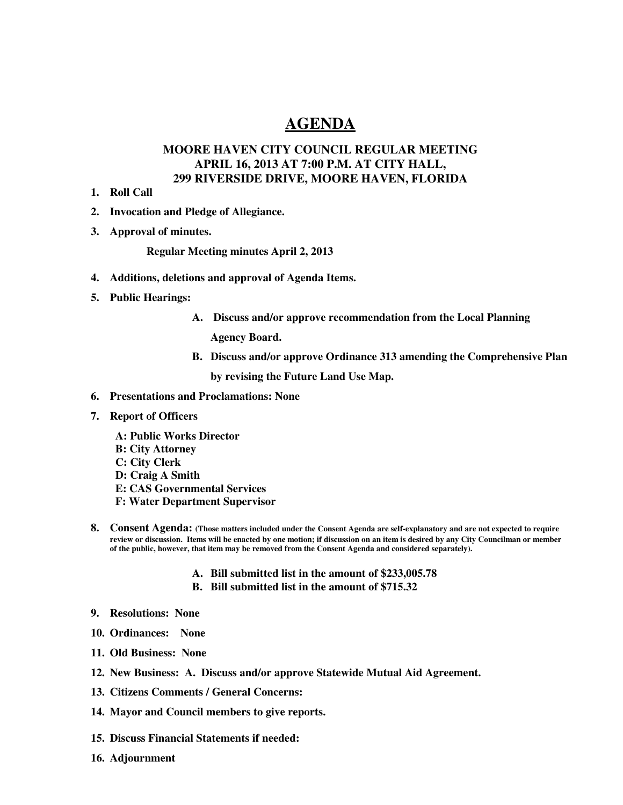## **AGENDA**

## **MOORE HAVEN CITY COUNCIL REGULAR MEETING APRIL 16, 2013 AT 7:00 P.M. AT CITY HALL, 299 RIVERSIDE DRIVE, MOORE HAVEN, FLORIDA**

- **1. Roll Call**
- **2. Invocation and Pledge of Allegiance.**
- **3. Approval of minutes.**

**Regular Meeting minutes April 2, 2013** 

- **4. Additions, deletions and approval of Agenda Items.**
- **5. Public Hearings:** 
	- **A. Discuss and/or approve recommendation from the Local Planning**

**Agency Board.** 

**B. Discuss and/or approve Ordinance 313 amending the Comprehensive Plan** 

**by revising the Future Land Use Map.** 

- **6. Presentations and Proclamations: None**
- **7. Report of Officers** 
	- **A: Public Works Director B: City Attorney C: City Clerk D: Craig A Smith E: CAS Governmental Services F: Water Department Supervisor**
- **8. Consent Agenda: (Those matters included under the Consent Agenda are self-explanatory and are not expected to require review or discussion. Items will be enacted by one motion; if discussion on an item is desired by any City Councilman or member of the public, however, that item may be removed from the Consent Agenda and considered separately).**
	- **A. Bill submitted list in the amount of \$233,005.78**
	- **B. Bill submitted list in the amount of \$715.32**
- **9. Resolutions: None**
- **10. Ordinances: None**
- **11. Old Business: None**
- **12. New Business: A. Discuss and/or approve Statewide Mutual Aid Agreement.**
- **13. Citizens Comments / General Concerns:**
- **14. Mayor and Council members to give reports.**
- **15. Discuss Financial Statements if needed:**
- **16. Adjournment**